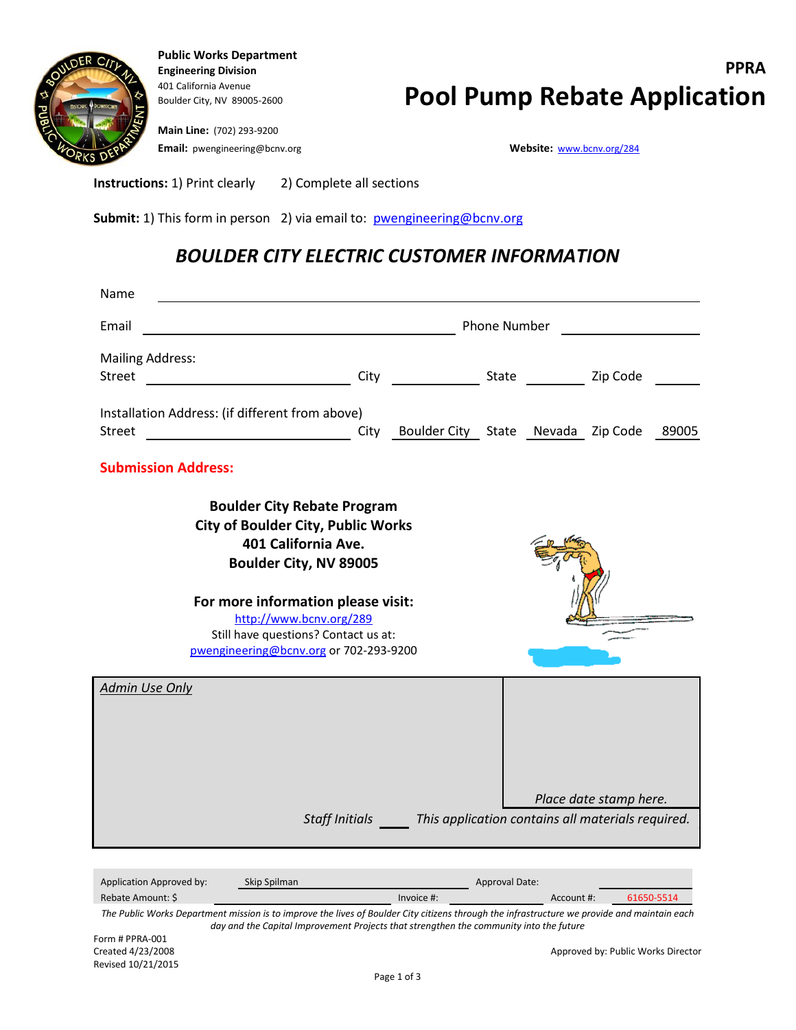

**Public Works Department** 401 California Avenue

**Main Line:** (702) 293-9200 **Email:** pwengineering@bcnv.org **Website:** [www.bcnv.org/284](http://www.bcnv.org/284)

**Instructions:** 1) Print clearly 2) Complete all sections

**Submit:** 1) This form in person 2) via email to: [pwengineering@bcnv.org](mailto:pwengineering@bcnv.org)

## *BOULDER CITY ELECTRIC CUSTOMER INFORMATION*

| Name                                                                                                                                                                                                    |                                                                          |                                                                  |                       |  |                        |       |  |  |
|---------------------------------------------------------------------------------------------------------------------------------------------------------------------------------------------------------|--------------------------------------------------------------------------|------------------------------------------------------------------|-----------------------|--|------------------------|-------|--|--|
| Email                                                                                                                                                                                                   | Phone Number                                                             |                                                                  |                       |  |                        |       |  |  |
| <b>Mailing Address:</b><br><b>Street</b>                                                                                                                                                                | City                                                                     | <b>State Example 2</b> Zip Code                                  |                       |  |                        |       |  |  |
| Installation Address: (if different from above)<br><b>Street</b>                                                                                                                                        | City                                                                     | Boulder City State Nevada Zip Code                               |                       |  |                        | 89005 |  |  |
| <b>Submission Address:</b>                                                                                                                                                                              |                                                                          |                                                                  |                       |  |                        |       |  |  |
| <b>Boulder City Rebate Program</b><br><b>City of Boulder City, Public Works</b><br>For more information please visit:<br>Still have questions? Contact us at:<br>pwengineering@bcnv.org or 702-293-9200 | 401 California Ave.<br>Boulder City, NV 89005<br>http://www.bcnv.org/289 |                                                                  |                       |  |                        |       |  |  |
| <b>Admin Use Only</b>                                                                                                                                                                                   |                                                                          | Staff Initials This application contains all materials required. |                       |  | Place date stamp here. |       |  |  |
| Skip Spilman<br>Application Approved by:                                                                                                                                                                |                                                                          |                                                                  | <b>Approval Date:</b> |  |                        |       |  |  |

*The Public Works Department mission is to improve the lives of Boulder City citizens through the infrastructure we provide and maintain each day and the Capital Improvement Projects that strengthen the community into the future* Rebate Amount: \$ Invoice #: Account #: 61650-5514

Form # PPRA-001<br>Created 4/23/2008 Revised 10/21/2015

Approved by: Public Works Director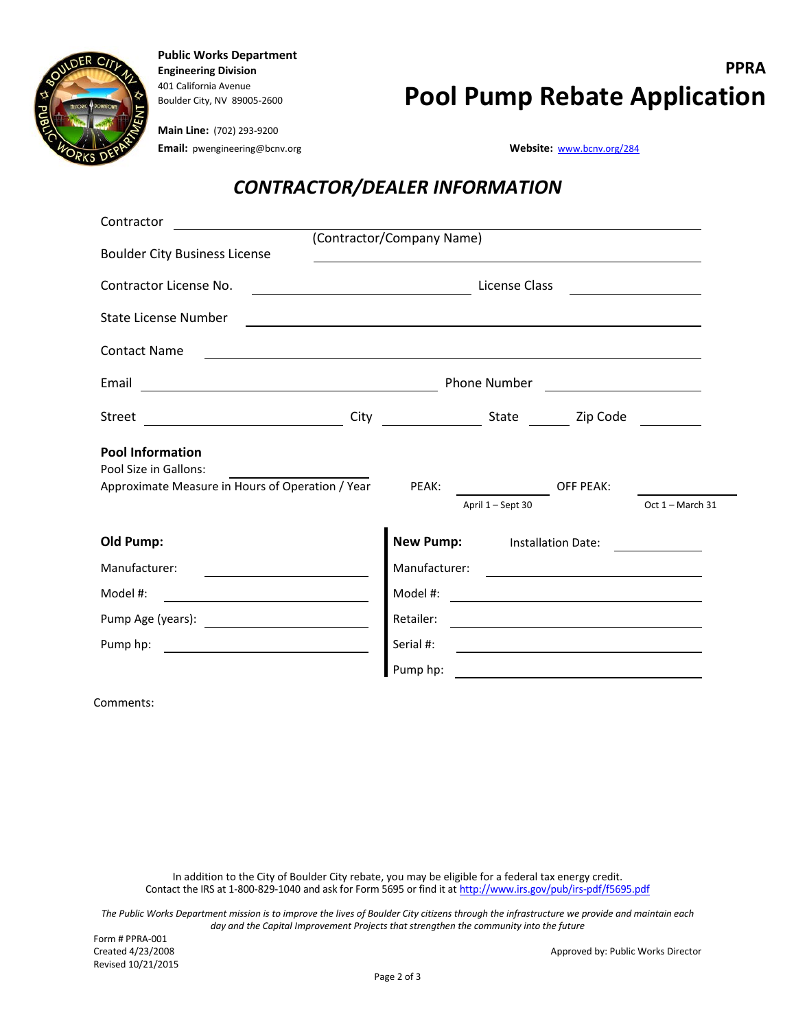

**Public Works Department** 401 California Avenue

## **Engineering Division PPRA Boulder City, NV 89005-2600 Pool Pump Rebate Application**

**Main Line:** (702) 293-9200 **Email:** pwengineering@bcnv.org **Website:** Website: [www.bcnv.org/284](http://www.bcnv.org/284)

## *CONTRACTOR/DEALER INFORMATION*

| Contractor                                                                                                                                    |                           |                                                                                                                                      |                                                                                                                     |                                                                                                                       |                  |  |  |
|-----------------------------------------------------------------------------------------------------------------------------------------------|---------------------------|--------------------------------------------------------------------------------------------------------------------------------------|---------------------------------------------------------------------------------------------------------------------|-----------------------------------------------------------------------------------------------------------------------|------------------|--|--|
| <b>Boulder City Business License</b>                                                                                                          | (Contractor/Company Name) |                                                                                                                                      |                                                                                                                     |                                                                                                                       |                  |  |  |
|                                                                                                                                               |                           |                                                                                                                                      | <u> 1980 - Jan Samuel Barbara, margaret eta idazlea (h. 1980).</u>                                                  |                                                                                                                       |                  |  |  |
| Contractor License No.                                                                                                                        | License Class             |                                                                                                                                      |                                                                                                                     |                                                                                                                       |                  |  |  |
| State License Number                                                                                                                          |                           |                                                                                                                                      | <u> 1989 - Johann Harry Barn, mars ar breithinn ar breithinn ar breithinn ar breithinn ar breithinn ar breithin</u> |                                                                                                                       |                  |  |  |
| <b>Contact Name</b><br><u> 1989 - Johann Barn, mars ann an t-Amhain ann an t-Amhain ann an t-Amhain ann an t-Amhain an t-Amhain ann an t-</u> |                           |                                                                                                                                      |                                                                                                                     |                                                                                                                       |                  |  |  |
| Email<br><u> 1989 - Johann Barn, fransk politik formuler (d. 1989)</u>                                                                        |                           | Phone Number<br><u> 1980 - Andrea Station Barbara, politik eta provincia eta provincia eta provincia eta provincia eta provincia</u> |                                                                                                                     |                                                                                                                       |                  |  |  |
| Street                                                                                                                                        |                           |                                                                                                                                      |                                                                                                                     |                                                                                                                       |                  |  |  |
| <b>Pool Information</b><br>Pool Size in Gallons:<br>Approximate Measure in Hours of Operation / Year                                          |                           | PEAK:                                                                                                                                |                                                                                                                     | <b>OFF PEAK:</b>                                                                                                      |                  |  |  |
|                                                                                                                                               |                           |                                                                                                                                      | April 1 - Sept 30                                                                                                   |                                                                                                                       | Oct 1 - March 31 |  |  |
| <b>Old Pump:</b>                                                                                                                              |                           |                                                                                                                                      | <b>New Pump:</b> Installation Date:                                                                                 |                                                                                                                       |                  |  |  |
| Manufacturer:                                                                                                                                 |                           | Manufacturer:                                                                                                                        |                                                                                                                     | <u> 1989 - John Stein, Amerikaansk politiker (</u>                                                                    |                  |  |  |
| Model #:                                                                                                                                      |                           | Model #:                                                                                                                             |                                                                                                                     | <u> 1989 - Johann John Stone, markin sammen fyrstu og fyrir sem og fyrir sem og fyrir sem og fyrir sem og fyrir </u>  |                  |  |  |
|                                                                                                                                               |                           | Retailer:                                                                                                                            | <u> 1980 - Andrea Station Barbara, amerikan personal (h. 1980).</u>                                                 |                                                                                                                       |                  |  |  |
| Pump hp:                                                                                                                                      |                           | Serial #:                                                                                                                            |                                                                                                                     | <u> 1989 - Johann John Stone, meil in der Stone aus der Stone aus der Stone aus der Stone aus der Stone aus der S</u> |                  |  |  |
|                                                                                                                                               |                           | Pump hp:                                                                                                                             |                                                                                                                     | <u> 1980 - Jan Stein Stein Stein Stein Stein Stein Stein Stein Stein Stein Stein Stein Stein Stein Stein Stein S</u>  |                  |  |  |
|                                                                                                                                               |                           |                                                                                                                                      |                                                                                                                     |                                                                                                                       |                  |  |  |

Comments:

In addition to the City of Boulder City rebate, you may be eligible for a federal tax energy credit. Contact the IRS at 1-800-829-1040 and ask for Form 5695 or find it a[t http://www.irs.gov/pub/irs-pdf/f5695.pdf](http://www.irs.gov/pub/irs-pdf/f5695.pdf)

*The Public Works Department mission is to improve the lives of Boulder City citizens through the infrastructure we provide and maintain each day and the Capital Improvement Projects that strengthen the community into the future*

Approved by: Public Works Director